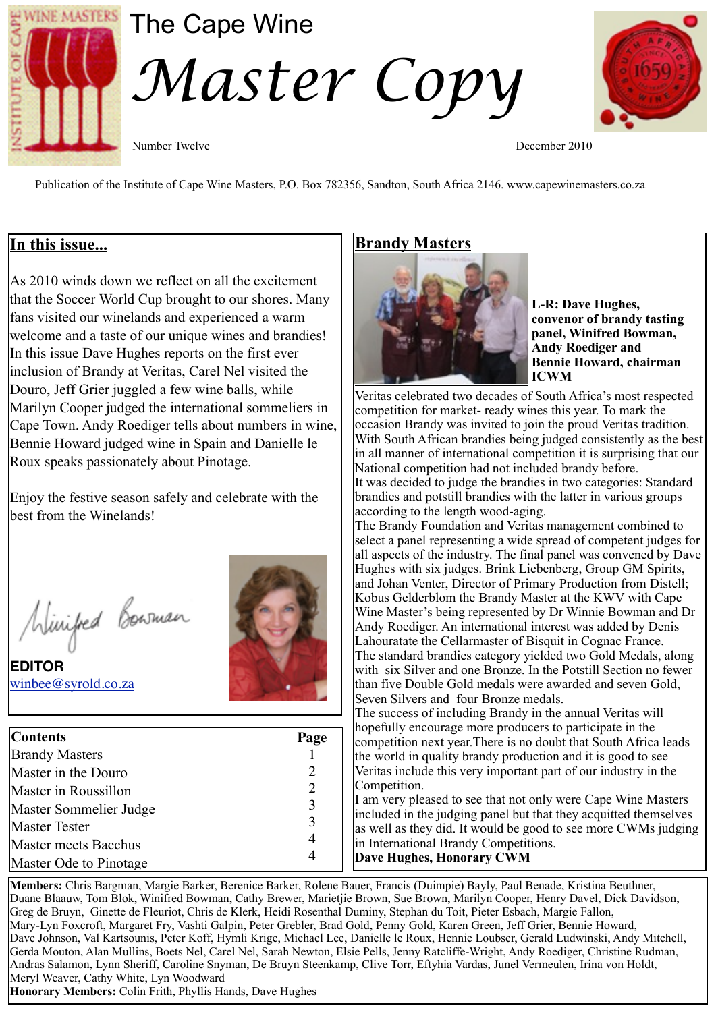

# The Cape Wine *Master Copy*



Number Twelve December 2010

Publication of the Institute of Cape Wine Masters, P.O. Box 782356, Sandton, South Africa 2146. www.capewinemasters.co.za

#### **In this issue...**

As 2010 winds down we reflect on all the excitement that the Soccer World Cup brought to our shores. Many fans visited our winelands and experienced a warm welcome and a taste of our unique wines and brandies! In this issue Dave Hughes reports on the first ever inclusion of Brandy at Veritas, Carel Nel visited the Douro, Jeff Grier juggled a few wine balls, while Marilyn Cooper judged the international sommeliers in Cape Town. Andy Roediger tells about numbers in wine, Bennie Howard judged wine in Spain and Danielle le Roux speaks passionately about Pinotage.

Enjoy the festive season safely and celebrate with the best from the Winelands!

Winifed Bowman

**EDITOR** [winbee@syrold.co.za](mailto:winbee@syrold.co.za)



| <b>Contents</b>             | Page |
|-----------------------------|------|
| <b>Brandy Masters</b>       |      |
| Master in the Douro         | 2    |
| Master in Roussillon        | 2    |
| Master Sommelier Judge      | 3    |
| <b>Master Tester</b>        | 3    |
| <b>Master meets Bacchus</b> |      |
| Master Ode to Pinotage      |      |

# **Brandy Masters**



**L-R: Dave Hughes, convenor of brandy tasting panel, Winifred Bowman, Andy Roediger and Bennie Howard, chairman ICWM**

Veritas celebrated two decades of South Africa's most respected competition for market- ready wines this year. To mark the occasion Brandy was invited to join the proud Veritas tradition. With South African brandies being judged consistently as the best in all manner of international competition it is surprising that our National competition had not included brandy before. It was decided to judge the brandies in two categories: Standard

brandies and potstill brandies with the latter in various groups according to the length wood-aging.

The Brandy Foundation and Veritas management combined to select a panel representing a wide spread of competent judges for all aspects of the industry. The final panel was convened by Dave Hughes with six judges. Brink Liebenberg, Group GM Spirits, and Johan Venter, Director of Primary Production from Distell; Kobus Gelderblom the Brandy Master at the KWV with Cape Wine Master's being represented by Dr Winnie Bowman and Dr Andy Roediger. An international interest was added by Denis Lahouratate the Cellarmaster of Bisquit in Cognac France. The standard brandies category yielded two Gold Medals, along with six Silver and one Bronze. In the Potstill Section no fewer than five Double Gold medals were awarded and seven Gold, Seven Silvers and four Bronze medals.

The success of including Brandy in the annual Veritas will hopefully encourage more producers to participate in the competition next year.There is no doubt that South Africa leads the world in quality brandy production and it is good to see Veritas include this very important part of our industry in the Competition.

I am very pleased to see that not only were Cape Wine Masters included in the judging panel but that they acquitted themselves as well as they did. It would be good to see more CWMs judging in International Brandy Competitions. **Dave Hughes, Honorary CWM**

**Members:** Chris Bargman, Margie Barker, Berenice Barker, Rolene Bauer, Francis (Duimpie) Bayly, Paul Benade, Kristina Beuthner, Duane Blaauw, Tom Blok, Winifred Bowman, Cathy Brewer, Marietjie Brown, Sue Brown, Marilyn Cooper, Henry Davel, Dick Davidson, Greg de Bruyn, Ginette de Fleuriot, Chris de Klerk, Heidi Rosenthal Duminy, Stephan du Toit, Pieter Esbach, Margie Fallon, Mary-Lyn Foxcroft, Margaret Fry, Vashti Galpin, Peter Grebler, Brad Gold, Penny Gold, Karen Green, Jeff Grier, Bennie Howard, Dave Johnson, Val Kartsounis, Peter Koff, Hymli Krige, Michael Lee, Danielle le Roux, Hennie Loubser, Gerald Ludwinski, Andy Mitchell, Gerda Mouton, Alan Mullins, Boets Nel, Carel Nel, Sarah Newton, Elsie Pells, Jenny Ratcliffe-Wright, Andy Roediger, Christine Rudman, Andras Salamon, Lynn Sheriff, Caroline Snyman, De Bruyn Steenkamp, Clive Torr, Eftyhia Vardas, Junel Vermeulen, Irina von Holdt, Meryl Weaver, Cathy White, Lyn Woodward **Honorary Members:** Colin Frith, Phyllis Hands, Dave Hughes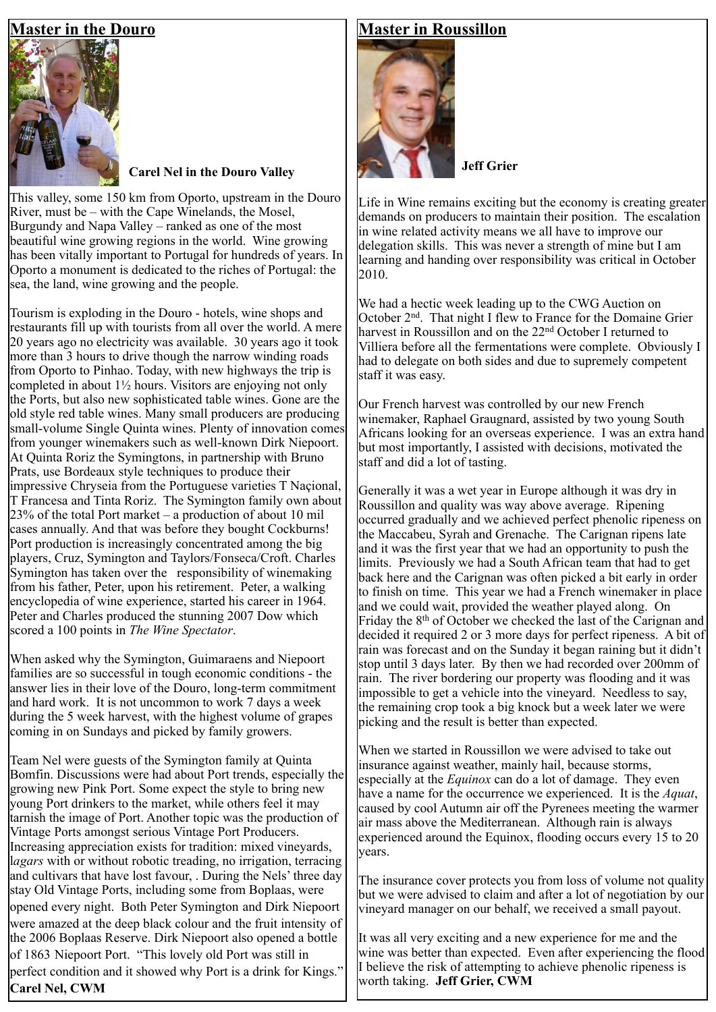# **Master in the Douro**



# **Carel Nel in the Douro Valley Jeff Grier**

This valley, some 150 km from Oporto, upstream in the Douro River, must be – with the Cape Winelands, the Mosel, Burgundy and Napa Valley – ranked as one of the most beautiful wine growing regions in the world. Wine growing has been vitally important to Portugal for hundreds of years. In Oporto a monument is dedicated to the riches of Portugal: the sea, the land, wine growing and the people.

Tourism is exploding in the Douro - hotels, wine shops and restaurants fill up with tourists from all over the world. A mere 20 years ago no electricity was available. 30 years ago it took more than 3 hours to drive though the narrow winding roads from Oporto to Pinhao. Today, with new highways the trip is completed in about 1½ hours. Visitors are enjoying not only the Ports, but also new sophisticated table wines. Gone are the old style red table wines. Many small producers are producing small-volume Single Quinta wines. Plenty of innovation comes from younger winemakers such as well-known Dirk Niepoort. At Quinta Roriz the Symingtons, in partnership with Bruno Prats, use Bordeaux style techniques to produce their impressive Chryseia from the Portuguese varieties T Naçional, T Francesa and Tinta Roriz. The Symington family own about 23% of the total Port market – a production of about 10 mil cases annually. And that was before they bought Cockburns! Port production is increasingly concentrated among the big players, Cruz, Symington and Taylors/Fonseca/Croft. Charles Symington has taken over the responsibility of winemaking from his father, Peter, upon his retirement. Peter, a walking encyclopedia of wine experience, started his career in 1964. Peter and Charles produced the stunning 2007 Dow which scored a 100 points in *The Wine Spectator*.

When asked why the Symington, Guimaraens and Niepoort families are so successful in tough economic conditions - the answer lies in their love of the Douro, long-term commitment and hard work. It is not uncommon to work 7 days a week during the 5 week harvest, with the highest volume of grapes coming in on Sundays and picked by family growers.

Team Nel were guests of the Symington family at Quinta Bomfin. Discussions were had about Port trends, especially the growing new Pink Port. Some expect the style to bring new young Port drinkers to the market, while others feel it may tarnish the image of Port. Another topic was the production of Vintage Ports amongst serious Vintage Port Producers. Increasing appreciation exists for tradition: mixed vineyards, l*agars* with or without robotic treading, no irrigation, terracing and cultivars that have lost favour, . During the Nels' three day stay Old Vintage Ports, including some from Boplaas, were opened every night. Both Peter Symington and Dirk Niepoort were amazed at the deep black colour and the fruit intensity of the 2006 Boplaas Reserve. Dirk Niepoort also opened a bottle of 1863 Niepoort Port. "This lovely old Port was still in perfect condition and it showed why Port is a drink for Kings." **Carel Nel, CWM**

### **Master in Roussillon**



Life in Wine remains exciting but the economy is creating greater demands on producers to maintain their position. The escalation in wine related activity means we all have to improve our delegation skills. This was never a strength of mine but I am learning and handing over responsibility was critical in October 2010.

We had a hectic week leading up to the CWG Auction on October 2nd. That night I flew to France for the Domaine Grier harvest in Roussillon and on the 22nd October I returned to Villiera before all the fermentations were complete. Obviously I had to delegate on both sides and due to supremely competent staff it was easy.

Our French harvest was controlled by our new French winemaker, Raphael Graugnard, assisted by two young South Africans looking for an overseas experience. I was an extra hand but most importantly, I assisted with decisions, motivated the staff and did a lot of tasting.

Generally it was a wet year in Europe although it was dry in Roussillon and quality was way above average. Ripening occurred gradually and we achieved perfect phenolic ripeness on the Maccabeu, Syrah and Grenache. The Carignan ripens late and it was the first year that we had an opportunity to push the limits. Previously we had a South African team that had to get back here and the Carignan was often picked a bit early in order to finish on time. This year we had a French winemaker in place and we could wait, provided the weather played along. On Friday the 8<sup>th</sup> of October we checked the last of the Carignan and decided it required 2 or 3 more days for perfect ripeness. A bit of rain was forecast and on the Sunday it began raining but it didn't stop until 3 days later. By then we had recorded over 200mm of rain. The river bordering our property was flooding and it was impossible to get a vehicle into the vineyard. Needless to say, the remaining crop took a big knock but a week later we were picking and the result is better than expected.

When we started in Roussillon we were advised to take out insurance against weather, mainly hail, because storms, especially at the *Equinox* can do a lot of damage. They even have a name for the occurrence we experienced. It is the *Aquat*, caused by cool Autumn air off the Pyrenees meeting the warmer air mass above the Mediterranean. Although rain is always experienced around the Equinox, flooding occurs every 15 to 20 years.

The insurance cover protects you from loss of volume not quality but we were advised to claim and after a lot of negotiation by our vineyard manager on our behalf, we received a small payout.

It was all very exciting and a new experience for me and the wine was better than expected. Even after experiencing the flood I believe the risk of attempting to achieve phenolic ripeness is worth taking. **Jeff Grier, CWM**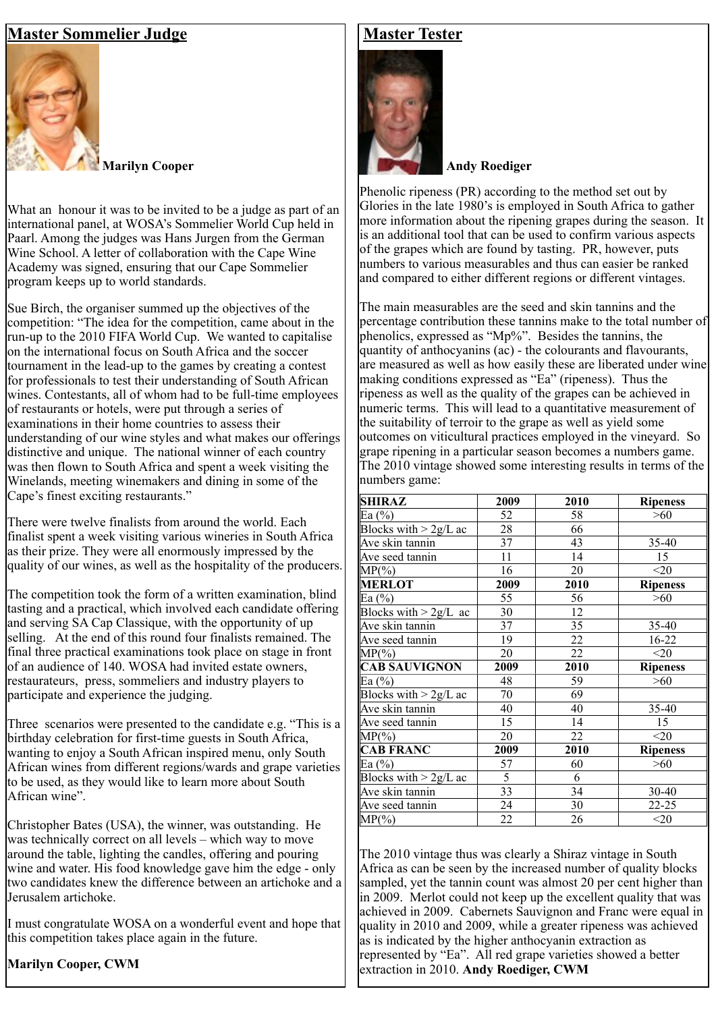## **Master Sommelier Judge**



**Marilyn Cooper**

What an honour it was to be invited to be a judge as part of an international panel, at WOSA's Sommelier World Cup held in Paarl. Among the judges was Hans Jurgen from the German Wine School. A letter of collaboration with the Cape Wine Academy was signed, ensuring that our Cape Sommelier program keeps up to world standards.

Sue Birch, the organiser summed up the objectives of the competition: "The idea for the competition, came about in the run-up to the 2010 FIFA World Cup. We wanted to capitalise on the international focus on South Africa and the soccer tournament in the lead-up to the games by creating a contest for professionals to test their understanding of South African wines. Contestants, all of whom had to be full-time employees of restaurants or hotels, were put through a series of examinations in their home countries to assess their understanding of our wine styles and what makes our offerings distinctive and unique. The national winner of each country was then flown to South Africa and spent a week visiting the Winelands, meeting winemakers and dining in some of the Cape's finest exciting restaurants."

There were twelve finalists from around the world. Each finalist spent a week visiting various wineries in South Africa as their prize. They were all enormously impressed by the quality of our wines, as well as the hospitality of the producers.

The competition took the form of a written examination, blind tasting and a practical, which involved each candidate offering and serving SA Cap Classique, with the opportunity of up selling. At the end of this round four finalists remained. The final three practical examinations took place on stage in front of an audience of 140. WOSA had invited estate owners, restaurateurs, press, sommeliers and industry players to participate and experience the judging.

Three scenarios were presented to the candidate e.g. "This is a birthday celebration for first-time guests in South Africa, wanting to enjoy a South African inspired menu, only South African wines from different regions/wards and grape varieties to be used, as they would like to learn more about South African wine".

Christopher Bates (USA), the winner, was outstanding. He was technically correct on all levels – which way to move around the table, lighting the candles, offering and pouring wine and water. His food knowledge gave him the edge - only two candidates knew the difference between an artichoke and a Jerusalem artichoke.

I must congratulate WOSA on a wonderful event and hope that this competition takes place again in the future.

#### **Marilyn Cooper, CWM**

#### **Master Tester**



**Andy Roediger**

Phenolic ripeness (PR) according to the method set out by Glories in the late 1980's is employed in South Africa to gather more information about the ripening grapes during the season. It is an additional tool that can be used to confirm various aspects of the grapes which are found by tasting. PR, however, puts numbers to various measurables and thus can easier be ranked and compared to either different regions or different vintages.

The main measurables are the seed and skin tannins and the percentage contribution these tannins make to the total number of phenolics, expressed as "Mp%". Besides the tannins, the quantity of anthocyanins  $(ac)$  - the colourants and flavourants, are measured as well as how easily these are liberated under wine making conditions expressed as "Ea" (ripeness). Thus the ripeness as well as the quality of the grapes can be achieved in numeric terms. This will lead to a quantitative measurement of the suitability of terroir to the grape as well as yield some outcomes on viticultural practices employed in the vineyard. So grape ripening in a particular season becomes a numbers game. The 2010 vintage showed some interesting results in terms of the numbers game:

| <b>SHIRAZ</b>           | 2009 | 2010 | <b>Ripeness</b> |
|-------------------------|------|------|-----------------|
| Ea $(%)$                | 52   | 58   | $>60$           |
| Blocks with $> 2g/L$ ac | 28   | 66   |                 |
| Ave skin tannin         | 37   | 43   | 35-40           |
| Ave seed tannin         | 11   | 14   | 15              |
| $MP(\%)$                | 16   | 20   | $20$            |
| <b>MERLOT</b>           | 2009 | 2010 | <b>Ripeness</b> |
| Ea $(\%)$               | 55   | 56   | >60             |
| Blocks with $> 2g/L$ ac | 30   | 12   |                 |
| Ave skin tannin         | 37   | 35   | 35-40           |
| Ave seed tannin         | 19   | 22   | 16-22           |
| $MP(\%)$                | 20   | 22   | $<$ 20          |
| <b>CAB SAUVIGNON</b>    | 2009 | 2010 | <b>Ripeness</b> |
| Ea $(\%$                | 48   | 59   | >60             |
| Blocks with $> 2g/L$ ac | 70   | 69   |                 |
| Ave skin tannin         | 40   | 40   | $35 - 40$       |
| Ave seed tannin         | 15   | 14   | 15              |
| $MP(\%)$                | 20   | 22   | $20$            |
| <b>CAB FRANC</b>        | 2009 | 2010 | <b>Ripeness</b> |
| Ea $(\%$                | 57   | 60   | $>60$           |
| Blocks with $> 2g/L$ ac | 5    | 6    |                 |
| Ave skin tannin         | 33   | 34   | 30-40           |
| Ave seed tannin         | 24   | 30   | $22 - 25$       |
| $MP(\%)$                | 22   | 26   | $20$            |

The 2010 vintage thus was clearly a Shiraz vintage in South Africa as can be seen by the increased number of quality blocks sampled, yet the tannin count was almost 20 per cent higher than in 2009. Merlot could not keep up the excellent quality that was achieved in 2009. Cabernets Sauvignon and Franc were equal in quality in 2010 and 2009, while a greater ripeness was achieved as is indicated by the higher anthocyanin extraction as represented by "Ea". All red grape varieties showed a better extraction in 2010. **Andy Roediger, CWM**